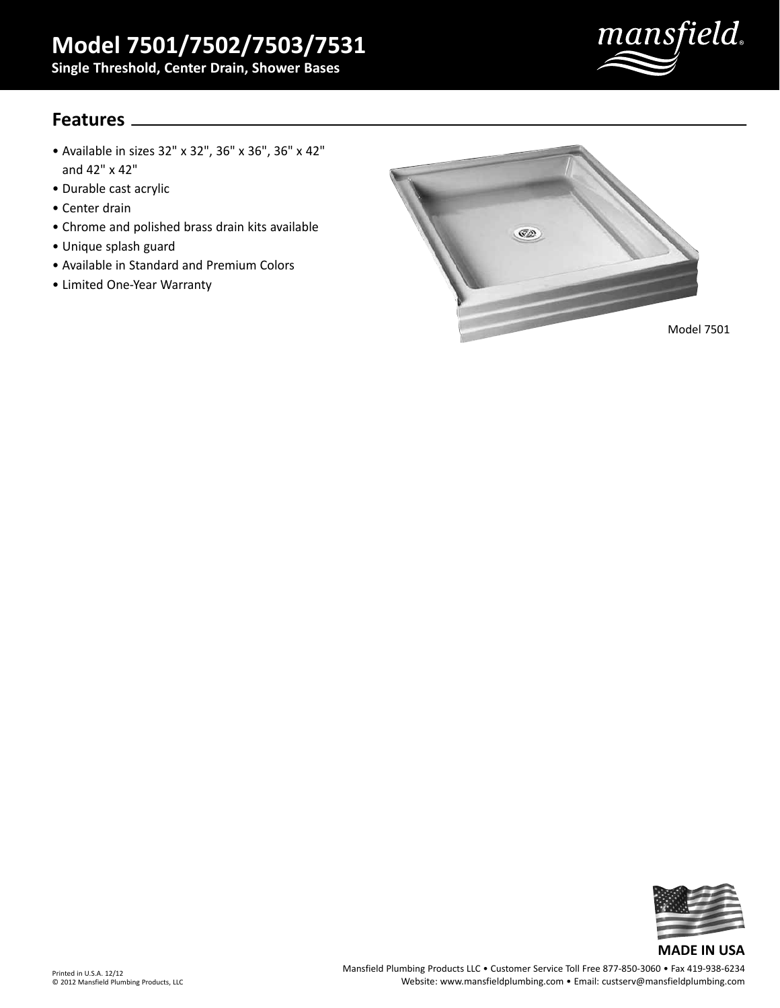# **Model 7501/7502/7503/7531**

**Single Threshold, Center Drain, Shower Bases**



## **Features**

- Available in sizes 32" x 32", 36" x 36", 36" x 42" and 42" x 42"
- Durable cast acrylic
- Center drain

Printed in U.S.A. 12/12

© 2012 Mansfield Plumbing Products, LLC

- Chrome and polished brass drain kits available
- Unique splash guard
- Available in Standard and Premium Colors
- Limited One-Year Warranty